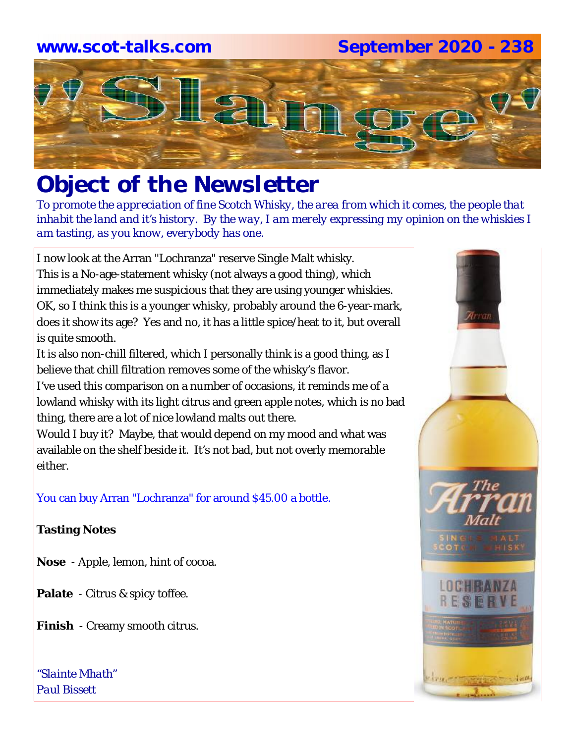# **www.scot-talks.com September 2020 - 238**



## *Object of the Newsletter*

*To promote the appreciation of fine Scotch Whisky, the area from which it comes, the people that inhabit the land and it's history. By the way, I am merely expressing my opinion on the whiskies I am tasting, as you know, everybody has one.* 

I now look at the Arran "Lochranza" reserve Single Malt whisky. This is a No-age-statement whisky (not always a good thing), which immediately makes me suspicious that they are using younger whiskies. OK, so I think this is a younger whisky, probably around the 6-year-mark, does it show its age? Yes and no, it has a little spice/heat to it, but overall is quite smooth.

It is also non-chill filtered, which I personally think is a good thing, as I believe that chill filtration removes some of the whisky's flavor.

I've used this comparison on a number of occasions, it reminds me of a lowland whisky with its light citrus and green apple notes, which is no bad thing, there are a lot of nice lowland malts out there.

Would I buy it? Maybe, that would depend on my mood and what was available on the shelf beside it. It's not bad, but not overly memorable either.

You can buy Arran "Lochranza" for around \$45.00 a bottle.

#### **Tasting Notes**

- **Nose**  Apple, lemon, hint of cocoa.
- **Palate**  Citrus & spicy toffee.
- **Finish**  Creamy smooth citrus.

*"Slainte Mhath" Paul Bissett*

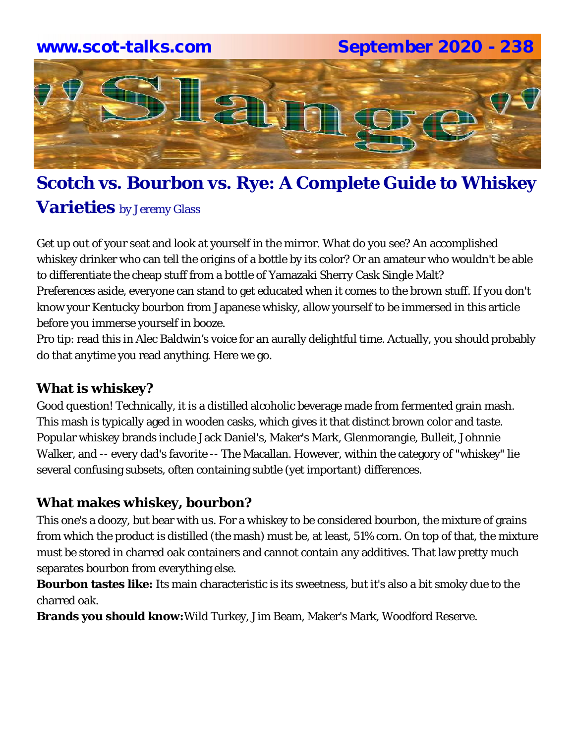

### **Scotch vs. Bourbon vs. Rye: A Complete Guide to Whiskey**

#### **Varieties** by Jeremy Glass

Get up out of your seat and look at yourself in the mirror. What do you see? An accomplished whiskey drinker who can tell the origins of a bottle by its color? Or an amateur who wouldn't be able to differentiate the cheap stuff from a bottle of Yamazaki Sherry Cask Single Malt? Preferences aside, everyone can stand to get educated when it comes to the brown stuff. If you don't know your Kentucky bourbon from Japanese whisky, allow yourself to be immersed in this article before you immerse yourself in booze.

Pro tip: read this in Alec Baldwin's voice for an aurally delightful time. Actually, you should probably do that anytime you read anything. Here we go.

#### **What is whiskey?**

Good question! Technically, it is a distilled alcoholic beverage made from fermented grain mash. This mash is typically aged in wooden casks, which gives it that distinct brown color and taste. Popular whiskey brands include Jack Daniel's, Maker's Mark, Glenmorangie, Bulleit, Johnnie Walker, and -- every dad's favorite -- The Macallan. However, within the category of "whiskey" lie several confusing subsets, often containing subtle (yet important) differences.

#### **What makes whiskey, bourbon?**

This one's a doozy, but bear with us. For a whiskey to be considered bourbon, the mixture of grains from which the product is distilled (the mash) must be, at least, 51% corn. On top of that, the mixture must be stored in charred oak containers and cannot contain any additives. That law pretty much separates bourbon from everything else.

**Bourbon tastes like:** Its main characteristic is its sweetness, but it's also a bit smoky due to the charred oak.

**Brands you should know:**Wild Turkey, Jim Beam, Maker's Mark, Woodford Reserve.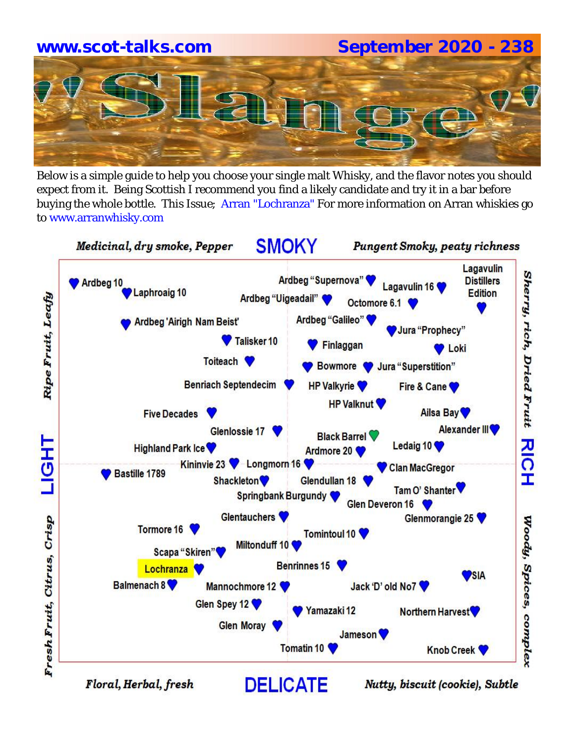# **www.scot-talks.com September 2020 - 238**

Below is a simple guide to help you choose your single malt Whisky, and the flavor notes you should expect from it. Being Scottish I recommend you find a likely candidate and try it in a bar before buying the whole bottle. This Issue; Arran "Lochranza" For more information on Arran whiskies go to www.arranwhisky.com

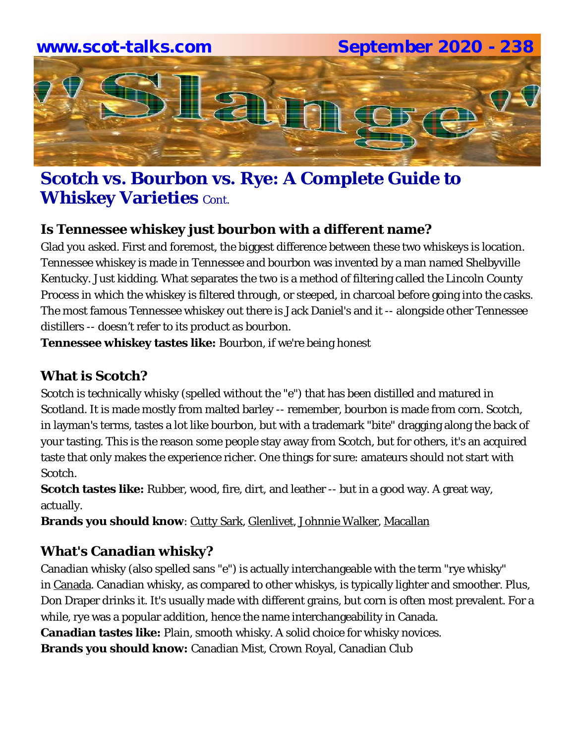

#### **Scotch vs. Bourbon vs. Rye: A Complete Guide to Whiskey Varieties Cont.**

#### **Is Tennessee whiskey just bourbon with a different name?**

Glad you asked. First and foremost, the biggest difference between these two whiskeys is location. Tennessee whiskey is made in Tennessee and bourbon was invented by a man named Shelbyville Kentucky. Just kidding. What separates the two is a method of filtering called the Lincoln County Process in which the whiskey is filtered through, or steeped, in charcoal before going into the casks. The most famous Tennessee whiskey out there is Jack Daniel's and it -- alongside other Tennessee distillers -- doesn't refer to its product as bourbon.

**Tennessee whiskey tastes like:** Bourbon, if we're being honest

#### **What is Scotch?**

Scotch is technically whisky (spelled without the "e") that has been distilled and matured in Scotland. It is made mostly from malted barley -- remember, bourbon is made from corn. Scotch, in layman's terms, tastes a lot like bourbon, but with a trademark "bite" dragging along the back of your tasting. This is the reason some people stay away from Scotch, but for others, it's an acquired taste that only makes the experience richer. One things for sure: amateurs should not start with Scotch.

**Scotch tastes like:** Rubber, wood, fire, dirt, and leather -- but in a good way. A great way, actually.

**Brands you should know: Cutty Sark, Glenlivet, Johnnie Walker, Macallan** 

#### **What's Canadian whisky?**

Canadian whisky (also spelled sans "e") is actually interchangeable with the term "rye whisky" in Canada. Canadian whisky, as compared to other whiskys, is typically lighter and smoother. Plus, Don Draper drinks it. It's usually made with different grains, but corn is often most prevalent. For a while, rye was a popular addition, hence the name interchangeability in Canada. **Canadian tastes like:** Plain, smooth whisky. A solid choice for whisky novices. **Brands you should know:** Canadian Mist, Crown Royal, Canadian Club